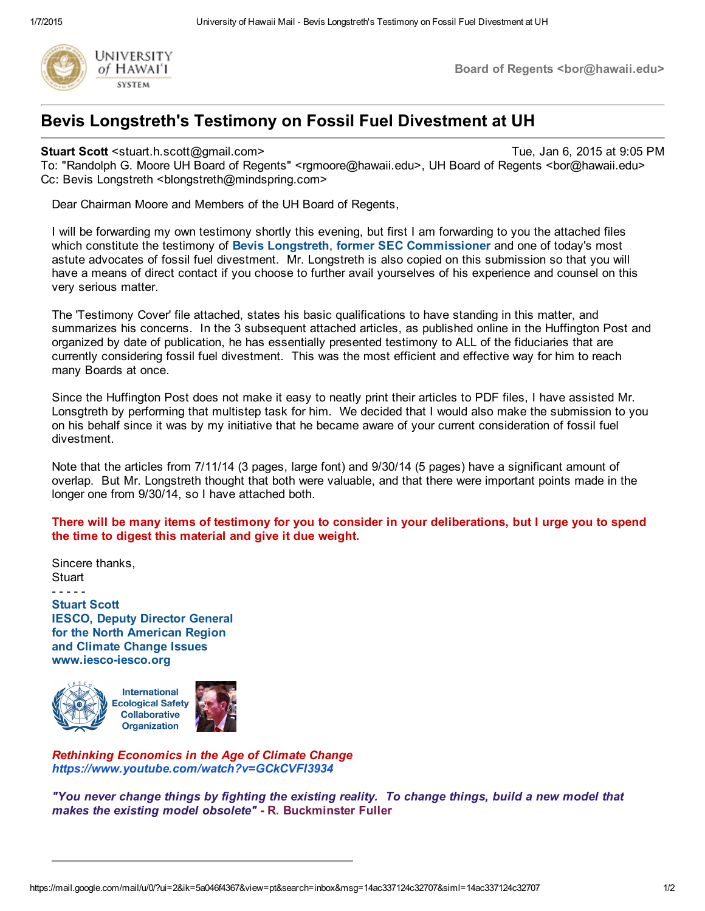

Board of Regents <bor@hawaii.edu>

#### Bevis Longstreth's Testimony on Fossil Fuel Divestment at UH

#### Stuart Scott <stuart.h.scott@gmail.com> Tue, Jan 6, 2015 at 9:05 PM

To: "Randolph G. Moore UH Board of Regents" <rgmoore@hawaii.edu>, UH Board of Regents <bor@hawaii.edu> Cc: Bevis Longstreth <br/>blongstreth@mindspring.com>

Dear Chairman Moore and Members of the UH Board of Regents,

I will be forwarding my own testimony shortly this evening, but first I am forwarding to you the attached files which constitute the testimony of Bevis Longstreth, former SEC Commissioner and one of today's most astute advocates of fossil fuel divestment. Mr. Longstreth is also copied on this submission so that you will have a means of direct contact if you choose to further avail yourselves of his experience and counsel on this very serious matter.

The 'Testimony Cover' file attached, states his basic qualifications to have standing in this matter, and summarizes his concerns. In the 3 subsequent attached articles, as published online in the Huffington Post and organized by date of publication, he has essentially presented testimony to ALL of the fiduciaries that are currently considering fossil fuel divestment. This was the most efficient and effective way for him to reach many Boards at once.

Since the Huffington Post does not make it easy to neatly print their articles to PDF files, I have assisted Mr. Lonsgtreth by performing that multistep task for him. We decided that I would also make the submission to you on his behalf since it was by my initiative that he became aware of your current consideration of fossil fuel divestment.

Note that the articles from 7/11/14 (3 pages, large font) and 9/30/14 (5 pages) have a significant amount of overlap. But Mr. Longstreth thought that both were valuable, and that there were important points made in the longer one from 9/30/14, so I have attached both.

There will be many items of testimony for you to consider in your deliberations, but I urge you to spend the time to digest this material and give it due weight.

Sincere thanks, **Stuart** 

 $- - - - -$ 

Stuart Scott IESCO, Deputy Director General for the North American Region and Climate Change Issues www.iesco-iesco.org





*Rethinking Economics in the Age of Climate Change <https://www.youtube.com/watch?v=GCkCVFI3934>*

*"You never change things by fighting the existing reality. To change things, build a new model that makes the existing model obsolete"* R. Buckminster Fuller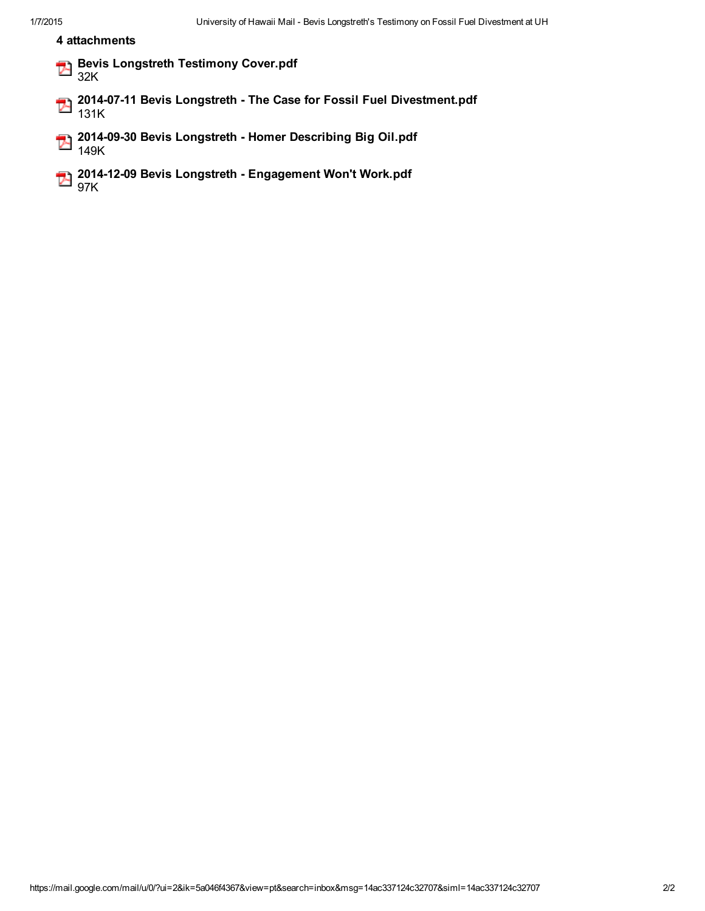#### 4 attachments

- Bevis Longstreth Testimony Cover.pdf  $\overline{\phantom{a}}$ 32K
- 2014-07-11 Bevis Longstreth The Case for Fossil Fuel Divestment.pdf 131K
- 2014-09-30 Bevis Longstreth Homer Describing Big Oil.pdf 149K
- 2014-12-09 Bevis Longstreth Engagement Won't Work.pdf 97K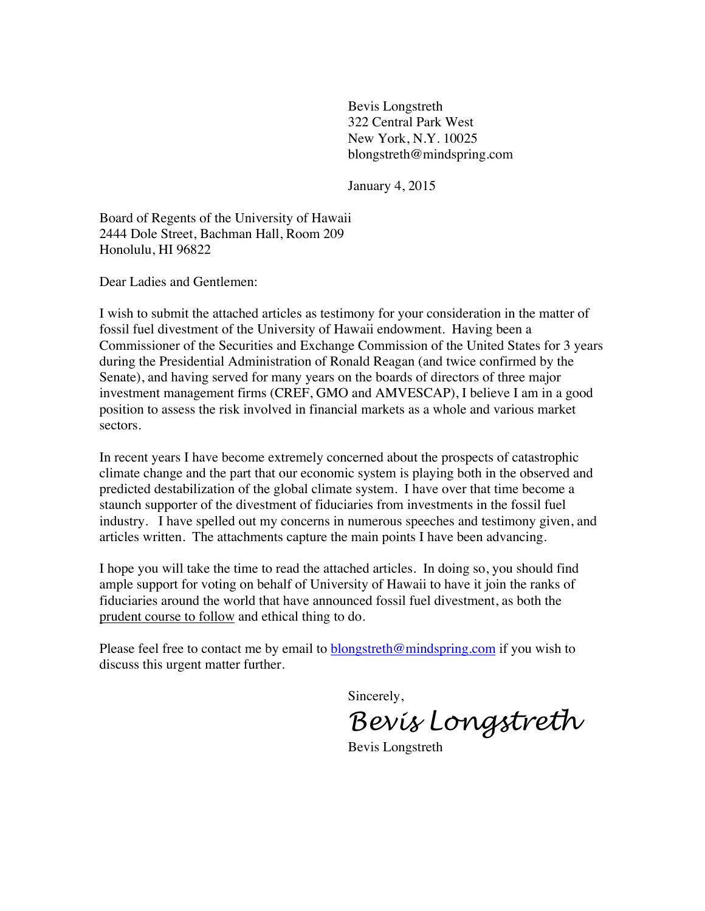Bevis Longstreth 322 Central Park West New York, N.Y. 10025 blongstreth@mindspring.com

January 4, 2015

Board of Regents of the University of Hawaii 2444 Dole Street, Bachman Hall, Room 209 Honolulu, HI 96822

Dear Ladies and Gentlemen:

I wish to submit the attached articles as testimony for your consideration in the matter of fossil fuel divestment of the University of Hawaii endowment. Having been a Commissioner of the Securities and Exchange Commission of the United States for 3 years during the Presidential Administration of Ronald Reagan (and twice confirmed by the Senate), and having served for many years on the boards of directors of three major investment management firms (CREF, GMO and AMVESCAP), I believe I am in a good position to assess the risk involved in financial markets as a whole and various market sectors.

In recent years I have become extremely concerned about the prospects of catastrophic climate change and the part that our economic system is playing both in the observed and predicted destabilization of the global climate system. I have over that time become a staunch supporter of the divestment of fiduciaries from investments in the fossil fuel industry. I have spelled out my concerns in numerous speeches and testimony given, and articles written. The attachments capture the main points I have been advancing.

I hope you will take the time to read the attached articles. In doing so, you should find ample support for voting on behalf of University of Hawaii to have it join the ranks of fiduciaries around the world that have announced fossil fuel divestment, as both the prudent course to follow and ethical thing to do.

Please feel free to contact me by email to blongstreth@mindspring.com if you wish to discuss this urgent matter further.

Sincerely,

*Bevis Longstreth*

Bevis Longstreth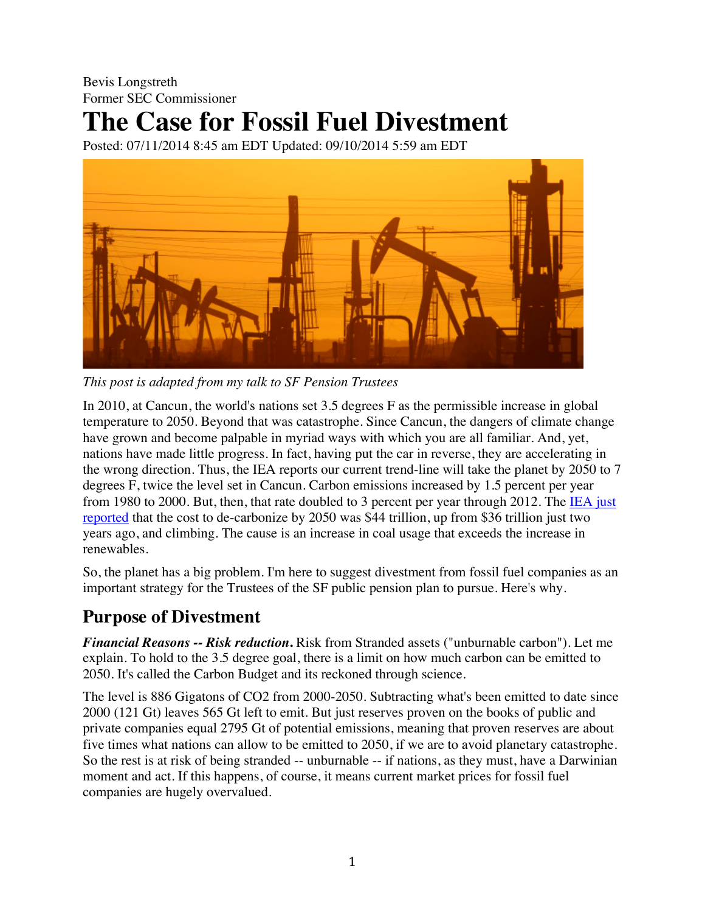#### Bevis Longstreth Former SEC Commissioner

## **The Case for Fossil Fuel Divestment**

Posted: 07/11/2014 8:45 am EDT Updated: 09/10/2014 5:59 am EDT



*This post is adapted from my talk to SF Pension Trustees*

In 2010, at Cancun, the world's nations set 3.5 degrees F as the permissible increase in global temperature to 2050. Beyond that was catastrophe. Since Cancun, the dangers of climate change have grown and become palpable in myriad ways with which you are all familiar. And, yet, nations have made little progress. In fact, having put the car in reverse, they are accelerating in the wrong direction. Thus, the IEA reports our current trend-line will take the planet by 2050 to 7 degrees F, twice the level set in Cancun. Carbon emissions increased by 1.5 percent per year from 1980 to 2000. But, then, that rate doubled to 3 percent per year through 2012. The IEA just reported that the cost to de-carbonize by 2050 was \$44 trillion, up from \$36 trillion just two years ago, and climbing. The cause is an increase in coal usage that exceeds the increase in renewables.

So, the planet has a big problem. I'm here to suggest divestment from fossil fuel companies as an important strategy for the Trustees of the SF public pension plan to pursue. Here's why.

### **Purpose of Divestment**

*Financial Reasons -- Risk reduction***.** Risk from Stranded assets ("unburnable carbon"). Let me explain. To hold to the 3.5 degree goal, there is a limit on how much carbon can be emitted to 2050. It's called the Carbon Budget and its reckoned through science.

The level is 886 Gigatons of CO2 from 2000-2050. Subtracting what's been emitted to date since 2000 (121 Gt) leaves 565 Gt left to emit. But just reserves proven on the books of public and private companies equal 2795 Gt of potential emissions, meaning that proven reserves are about five times what nations can allow to be emitted to 2050, if we are to avoid planetary catastrophe. So the rest is at risk of being stranded -- unburnable -- if nations, as they must, have a Darwinian moment and act. If this happens, of course, it means current market prices for fossil fuel companies are hugely overvalued.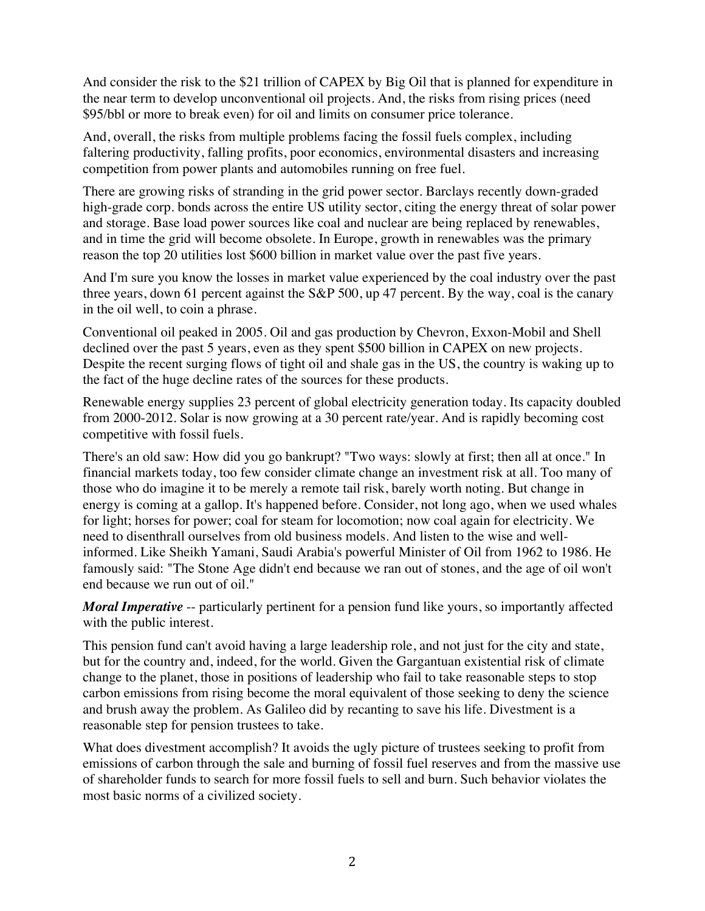And consider the risk to the \$21 trillion of CAPEX by Big Oil that is planned for expenditure in the near term to develop unconventional oil projects. And, the risks from rising prices (need \$95/bbl or more to break even) for oil and limits on consumer price tolerance.

And, overall, the risks from multiple problems facing the fossil fuels complex, including faltering productivity, falling profits, poor economics, environmental disasters and increasing competition from power plants and automobiles running on free fuel.

There are growing risks of stranding in the grid power sector. Barclays recently down-graded high-grade corp. bonds across the entire US utility sector, citing the energy threat of solar power and storage. Base load power sources like coal and nuclear are being replaced by renewables, and in time the grid will become obsolete. In Europe, growth in renewables was the primary reason the top 20 utilities lost \$600 billion in market value over the past five years.

And I'm sure you know the losses in market value experienced by the coal industry over the past three years, down 61 percent against the S&P 500, up 47 percent. By the way, coal is the canary in the oil well, to coin a phrase.

Conventional oil peaked in 2005. Oil and gas production by Chevron, Exxon-Mobil and Shell declined over the past 5 years, even as they spent \$500 billion in CAPEX on new projects. Despite the recent surging flows of tight oil and shale gas in the US, the country is waking up to the fact of the huge decline rates of the sources for these products.

Renewable energy supplies 23 percent of global electricity generation today. Its capacity doubled from 2000-2012. Solar is now growing at a 30 percent rate/year. And is rapidly becoming cost competitive with fossil fuels.

There's an old saw: How did you go bankrupt? "Two ways: slowly at first; then all at once." In financial markets today, too few consider climate change an investment risk at all. Too many of those who do imagine it to be merely a remote tail risk, barely worth noting. But change in energy is coming at a gallop. It's happened before. Consider, not long ago, when we used whales for light; horses for power; coal for steam for locomotion; now coal again for electricity. We need to disenthrall ourselves from old business models. And listen to the wise and wellinformed. Like Sheikh Yamani, Saudi Arabia's powerful Minister of Oil from 1962 to 1986. He famously said: "The Stone Age didn't end because we ran out of stones, and the age of oil won't end because we run out of oil."

*Moral Imperative* -- particularly pertinent for a pension fund like yours, so importantly affected with the public interest.

This pension fund can't avoid having a large leadership role, and not just for the city and state, but for the country and, indeed, for the world. Given the Gargantuan existential risk of climate change to the planet, those in positions of leadership who fail to take reasonable steps to stop carbon emissions from rising become the moral equivalent of those seeking to deny the science and brush away the problem. As Galileo did by recanting to save his life. Divestment is a reasonable step for pension trustees to take.

What does divestment accomplish? It avoids the ugly picture of trustees seeking to profit from emissions of carbon through the sale and burning of fossil fuel reserves and from the massive use of shareholder funds to search for more fossil fuels to sell and burn. Such behavior violates the most basic norms of a civilized society.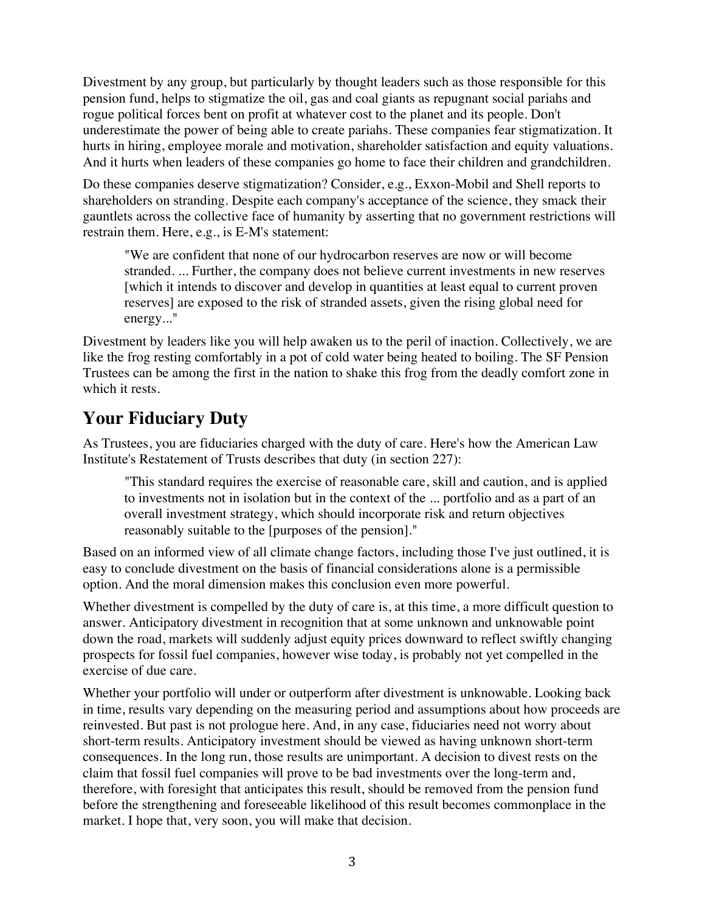Divestment by any group, but particularly by thought leaders such as those responsible for this pension fund, helps to stigmatize the oil, gas and coal giants as repugnant social pariahs and rogue political forces bent on profit at whatever cost to the planet and its people. Don't underestimate the power of being able to create pariahs. These companies fear stigmatization. It hurts in hiring, employee morale and motivation, shareholder satisfaction and equity valuations. And it hurts when leaders of these companies go home to face their children and grandchildren.

Do these companies deserve stigmatization? Consider, e.g., Exxon-Mobil and Shell reports to shareholders on stranding. Despite each company's acceptance of the science, they smack their gauntlets across the collective face of humanity by asserting that no government restrictions will restrain them. Here, e.g., is E-M's statement:

"We are confident that none of our hydrocarbon reserves are now or will become stranded. ... Further, the company does not believe current investments in new reserves [which it intends to discover and develop in quantities at least equal to current proven reserves] are exposed to the risk of stranded assets, given the rising global need for energy..."

Divestment by leaders like you will help awaken us to the peril of inaction. Collectively, we are like the frog resting comfortably in a pot of cold water being heated to boiling. The SF Pension Trustees can be among the first in the nation to shake this frog from the deadly comfort zone in which it rests.

#### **Your Fiduciary Duty**

As Trustees, you are fiduciaries charged with the duty of care. Here's how the American Law Institute's Restatement of Trusts describes that duty (in section 227):

"This standard requires the exercise of reasonable care, skill and caution, and is applied to investments not in isolation but in the context of the ... portfolio and as a part of an overall investment strategy, which should incorporate risk and return objectives reasonably suitable to the [purposes of the pension]."

Based on an informed view of all climate change factors, including those I've just outlined, it is easy to conclude divestment on the basis of financial considerations alone is a permissible option. And the moral dimension makes this conclusion even more powerful.

Whether divestment is compelled by the duty of care is, at this time, a more difficult question to answer. Anticipatory divestment in recognition that at some unknown and unknowable point down the road, markets will suddenly adjust equity prices downward to reflect swiftly changing prospects for fossil fuel companies, however wise today, is probably not yet compelled in the exercise of due care.

Whether your portfolio will under or outperform after divestment is unknowable. Looking back in time, results vary depending on the measuring period and assumptions about how proceeds are reinvested. But past is not prologue here. And, in any case, fiduciaries need not worry about short-term results. Anticipatory investment should be viewed as having unknown short-term consequences. In the long run, those results are unimportant. A decision to divest rests on the claim that fossil fuel companies will prove to be bad investments over the long-term and, therefore, with foresight that anticipates this result, should be removed from the pension fund before the strengthening and foreseeable likelihood of this result becomes commonplace in the market. I hope that, very soon, you will make that decision.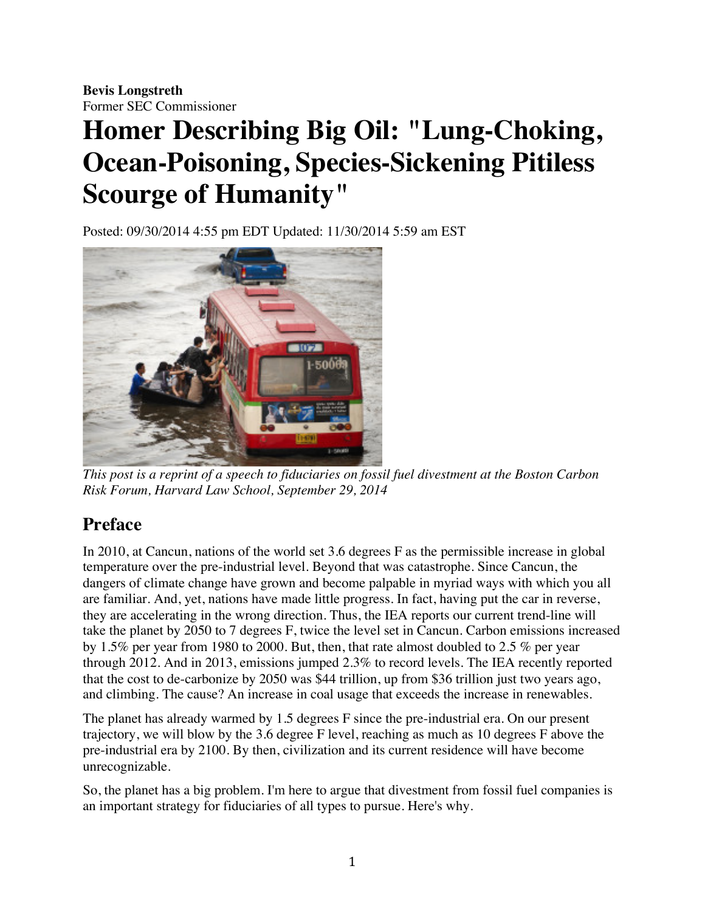**Bevis Longstreth** Former SEC Commissioner

# **Homer Describing Big Oil: "Lung-Choking, Ocean-Poisoning, Species-Sickening Pitiless Scourge of Humanity"**

Posted: 09/30/2014 4:55 pm EDT Updated: 11/30/2014 5:59 am EST



*This post is a reprint of a speech to fiduciaries on fossil fuel divestment at the Boston Carbon Risk Forum, Harvard Law School, September 29, 2014*

### **Preface**

In 2010, at Cancun, nations of the world set 3.6 degrees F as the permissible increase in global temperature over the pre-industrial level. Beyond that was catastrophe. Since Cancun, the dangers of climate change have grown and become palpable in myriad ways with which you all are familiar. And, yet, nations have made little progress. In fact, having put the car in reverse, they are accelerating in the wrong direction. Thus, the IEA reports our current trend-line will take the planet by 2050 to 7 degrees F, twice the level set in Cancun. Carbon emissions increased by 1.5% per year from 1980 to 2000. But, then, that rate almost doubled to 2.5 % per year through 2012. And in 2013, emissions jumped 2.3% to record levels. The IEA recently reported that the cost to de-carbonize by 2050 was \$44 trillion, up from \$36 trillion just two years ago, and climbing. The cause? An increase in coal usage that exceeds the increase in renewables.

The planet has already warmed by 1.5 degrees F since the pre-industrial era. On our present trajectory, we will blow by the 3.6 degree F level, reaching as much as 10 degrees F above the pre-industrial era by 2100. By then, civilization and its current residence will have become unrecognizable.

So, the planet has a big problem. I'm here to argue that divestment from fossil fuel companies is an important strategy for fiduciaries of all types to pursue. Here's why.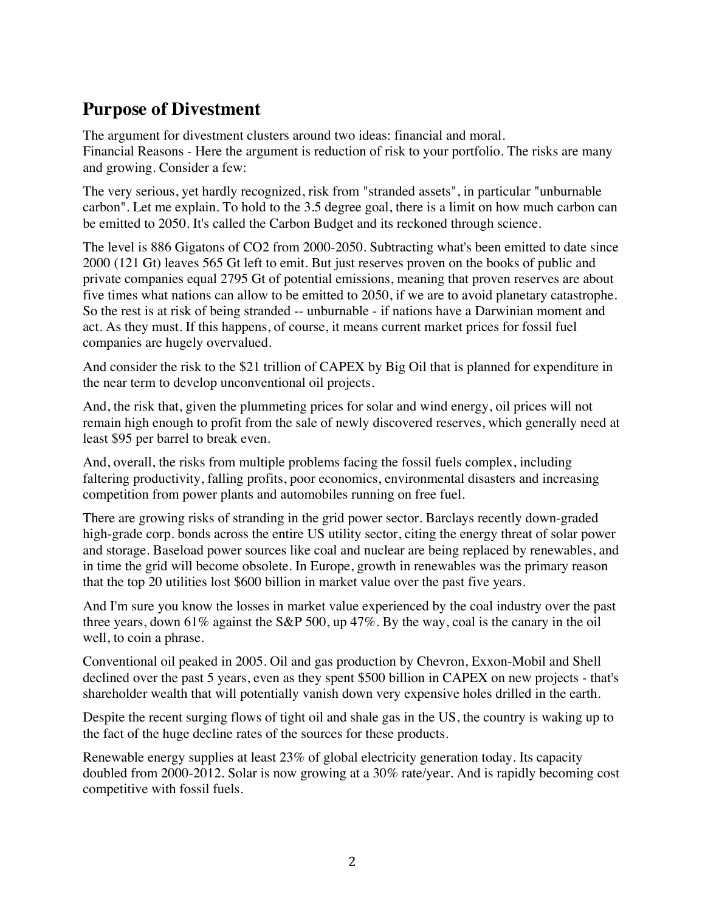#### **Purpose of Divestment**

The argument for divestment clusters around two ideas: financial and moral. Financial Reasons - Here the argument is reduction of risk to your portfolio. The risks are many and growing. Consider a few:

The very serious, yet hardly recognized, risk from "stranded assets", in particular "unburnable carbon". Let me explain. To hold to the 3.5 degree goal, there is a limit on how much carbon can be emitted to 2050. It's called the Carbon Budget and its reckoned through science.

The level is 886 Gigatons of CO2 from 2000-2050. Subtracting what's been emitted to date since 2000 (121 Gt) leaves 565 Gt left to emit. But just reserves proven on the books of public and private companies equal 2795 Gt of potential emissions, meaning that proven reserves are about five times what nations can allow to be emitted to 2050, if we are to avoid planetary catastrophe. So the rest is at risk of being stranded -- unburnable - if nations have a Darwinian moment and act. As they must. If this happens, of course, it means current market prices for fossil fuel companies are hugely overvalued.

And consider the risk to the \$21 trillion of CAPEX by Big Oil that is planned for expenditure in the near term to develop unconventional oil projects.

And, the risk that, given the plummeting prices for solar and wind energy, oil prices will not remain high enough to profit from the sale of newly discovered reserves, which generally need at least \$95 per barrel to break even.

And, overall, the risks from multiple problems facing the fossil fuels complex, including faltering productivity, falling profits, poor economics, environmental disasters and increasing competition from power plants and automobiles running on free fuel.

There are growing risks of stranding in the grid power sector. Barclays recently down-graded high-grade corp. bonds across the entire US utility sector, citing the energy threat of solar power and storage. Baseload power sources like coal and nuclear are being replaced by renewables, and in time the grid will become obsolete. In Europe, growth in renewables was the primary reason that the top 20 utilities lost \$600 billion in market value over the past five years.

And I'm sure you know the losses in market value experienced by the coal industry over the past three years, down 61% against the S&P 500, up 47%. By the way, coal is the canary in the oil well, to coin a phrase.

Conventional oil peaked in 2005. Oil and gas production by Chevron, Exxon-Mobil and Shell declined over the past 5 years, even as they spent \$500 billion in CAPEX on new projects - that's shareholder wealth that will potentially vanish down very expensive holes drilled in the earth.

Despite the recent surging flows of tight oil and shale gas in the US, the country is waking up to the fact of the huge decline rates of the sources for these products.

Renewable energy supplies at least 23% of global electricity generation today. Its capacity doubled from 2000-2012. Solar is now growing at a 30% rate/year. And is rapidly becoming cost competitive with fossil fuels.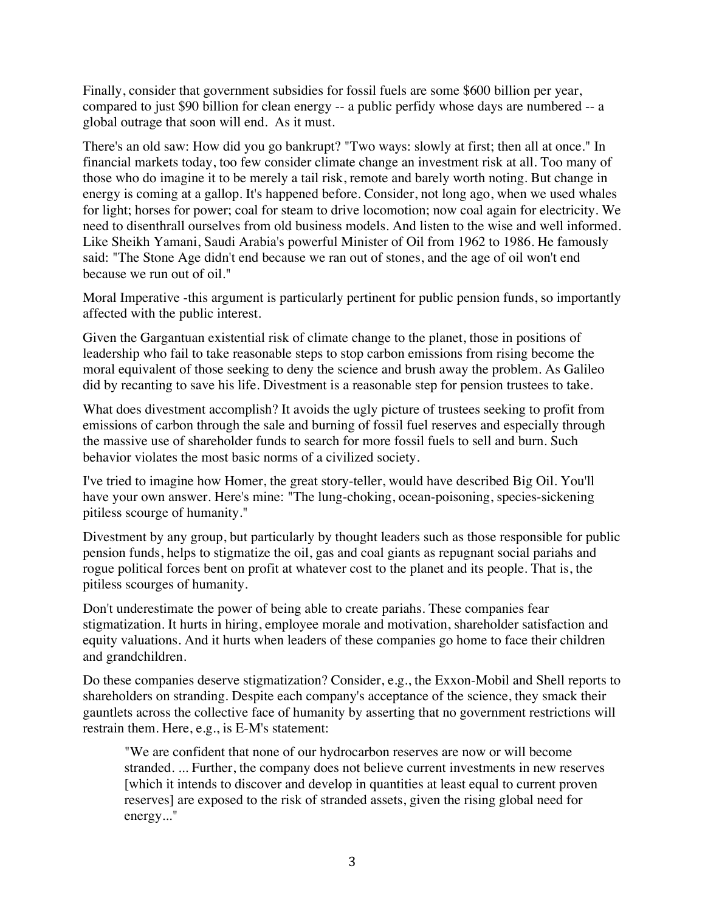Finally, consider that government subsidies for fossil fuels are some \$600 billion per year, compared to just \$90 billion for clean energy -- a public perfidy whose days are numbered -- a global outrage that soon will end. As it must.

There's an old saw: How did you go bankrupt? "Two ways: slowly at first; then all at once." In financial markets today, too few consider climate change an investment risk at all. Too many of those who do imagine it to be merely a tail risk, remote and barely worth noting. But change in energy is coming at a gallop. It's happened before. Consider, not long ago, when we used whales for light; horses for power; coal for steam to drive locomotion; now coal again for electricity. We need to disenthrall ourselves from old business models. And listen to the wise and well informed. Like Sheikh Yamani, Saudi Arabia's powerful Minister of Oil from 1962 to 1986. He famously said: "The Stone Age didn't end because we ran out of stones, and the age of oil won't end because we run out of oil."

Moral Imperative -this argument is particularly pertinent for public pension funds, so importantly affected with the public interest.

Given the Gargantuan existential risk of climate change to the planet, those in positions of leadership who fail to take reasonable steps to stop carbon emissions from rising become the moral equivalent of those seeking to deny the science and brush away the problem. As Galileo did by recanting to save his life. Divestment is a reasonable step for pension trustees to take.

What does divestment accomplish? It avoids the ugly picture of trustees seeking to profit from emissions of carbon through the sale and burning of fossil fuel reserves and especially through the massive use of shareholder funds to search for more fossil fuels to sell and burn. Such behavior violates the most basic norms of a civilized society.

I've tried to imagine how Homer, the great story-teller, would have described Big Oil. You'll have your own answer. Here's mine: "The lung-choking, ocean-poisoning, species-sickening pitiless scourge of humanity."

Divestment by any group, but particularly by thought leaders such as those responsible for public pension funds, helps to stigmatize the oil, gas and coal giants as repugnant social pariahs and rogue political forces bent on profit at whatever cost to the planet and its people. That is, the pitiless scourges of humanity.

Don't underestimate the power of being able to create pariahs. These companies fear stigmatization. It hurts in hiring, employee morale and motivation, shareholder satisfaction and equity valuations. And it hurts when leaders of these companies go home to face their children and grandchildren.

Do these companies deserve stigmatization? Consider, e.g., the Exxon-Mobil and Shell reports to shareholders on stranding. Despite each company's acceptance of the science, they smack their gauntlets across the collective face of humanity by asserting that no government restrictions will restrain them. Here, e.g., is E-M's statement:

"We are confident that none of our hydrocarbon reserves are now or will become stranded. ... Further, the company does not believe current investments in new reserves [which it intends to discover and develop in quantities at least equal to current proven reserves] are exposed to the risk of stranded assets, given the rising global need for energy..."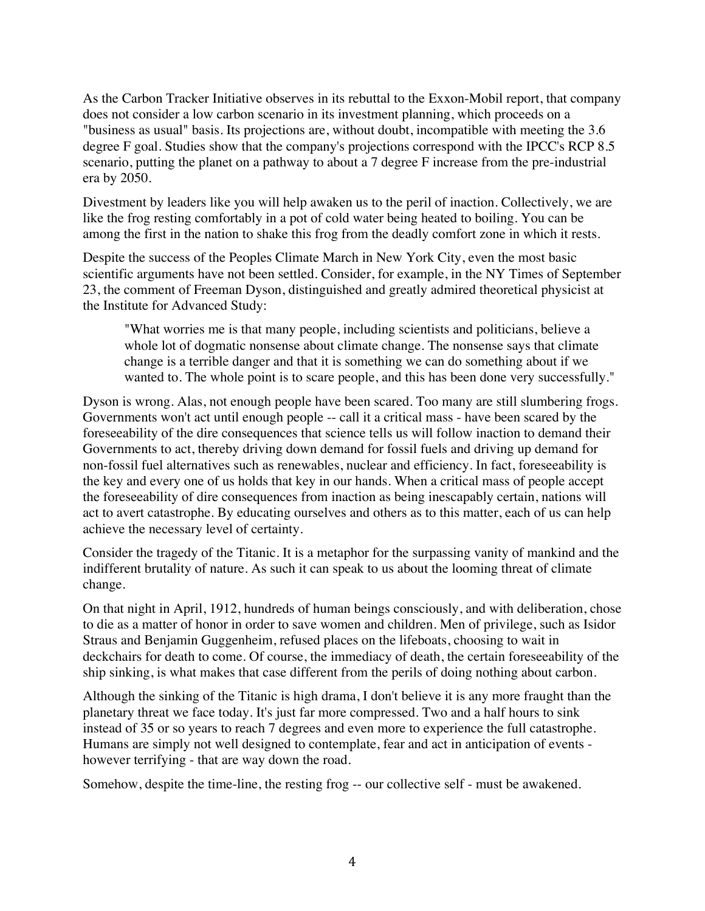As the Carbon Tracker Initiative observes in its rebuttal to the Exxon-Mobil report, that company does not consider a low carbon scenario in its investment planning, which proceeds on a "business as usual" basis. Its projections are, without doubt, incompatible with meeting the 3.6 degree F goal. Studies show that the company's projections correspond with the IPCC's RCP 8.5 scenario, putting the planet on a pathway to about a 7 degree F increase from the pre-industrial era by 2050.

Divestment by leaders like you will help awaken us to the peril of inaction. Collectively, we are like the frog resting comfortably in a pot of cold water being heated to boiling. You can be among the first in the nation to shake this frog from the deadly comfort zone in which it rests.

Despite the success of the Peoples Climate March in New York City, even the most basic scientific arguments have not been settled. Consider, for example, in the NY Times of September 23, the comment of Freeman Dyson, distinguished and greatly admired theoretical physicist at the Institute for Advanced Study:

"What worries me is that many people, including scientists and politicians, believe a whole lot of dogmatic nonsense about climate change. The nonsense says that climate change is a terrible danger and that it is something we can do something about if we wanted to. The whole point is to scare people, and this has been done very successfully."

Dyson is wrong. Alas, not enough people have been scared. Too many are still slumbering frogs. Governments won't act until enough people -- call it a critical mass - have been scared by the foreseeability of the dire consequences that science tells us will follow inaction to demand their Governments to act, thereby driving down demand for fossil fuels and driving up demand for non-fossil fuel alternatives such as renewables, nuclear and efficiency. In fact, foreseeability is the key and every one of us holds that key in our hands. When a critical mass of people accept the foreseeability of dire consequences from inaction as being inescapably certain, nations will act to avert catastrophe. By educating ourselves and others as to this matter, each of us can help achieve the necessary level of certainty.

Consider the tragedy of the Titanic. It is a metaphor for the surpassing vanity of mankind and the indifferent brutality of nature. As such it can speak to us about the looming threat of climate change.

On that night in April, 1912, hundreds of human beings consciously, and with deliberation, chose to die as a matter of honor in order to save women and children. Men of privilege, such as Isidor Straus and Benjamin Guggenheim, refused places on the lifeboats, choosing to wait in deckchairs for death to come. Of course, the immediacy of death, the certain foreseeability of the ship sinking, is what makes that case different from the perils of doing nothing about carbon.

Although the sinking of the Titanic is high drama, I don't believe it is any more fraught than the planetary threat we face today. It's just far more compressed. Two and a half hours to sink instead of 35 or so years to reach 7 degrees and even more to experience the full catastrophe. Humans are simply not well designed to contemplate, fear and act in anticipation of events however terrifying - that are way down the road.

Somehow, despite the time-line, the resting frog -- our collective self - must be awakened.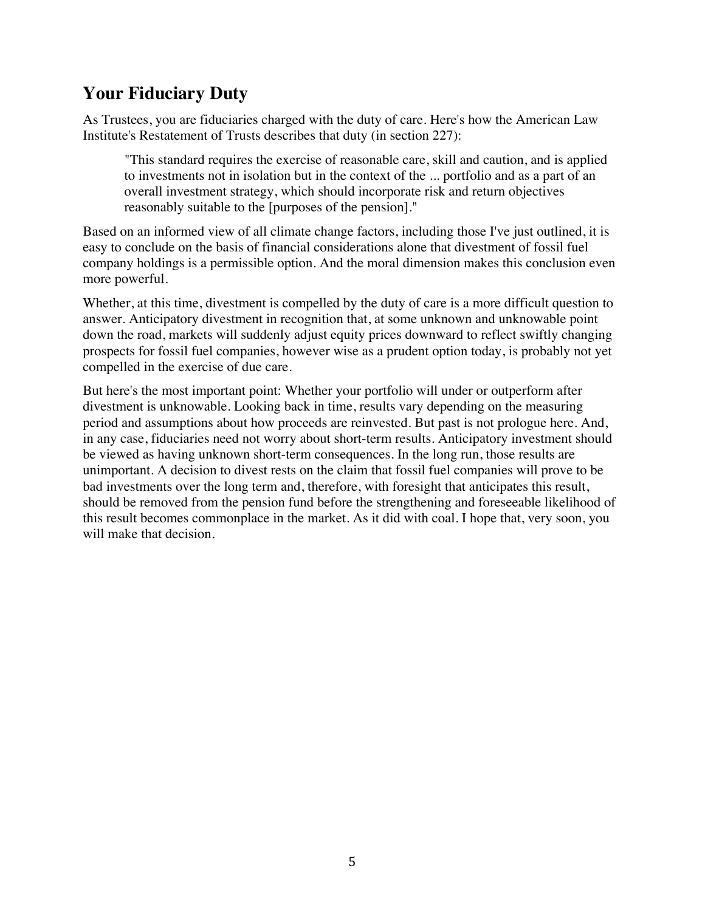### **Your Fiduciary Duty**

As Trustees, you are fiduciaries charged with the duty of care. Here's how the American Law Institute's Restatement of Trusts describes that duty (in section 227):

"This standard requires the exercise of reasonable care, skill and caution, and is applied to investments not in isolation but in the context of the ... portfolio and as a part of an overall investment strategy, which should incorporate risk and return objectives reasonably suitable to the [purposes of the pension]."

Based on an informed view of all climate change factors, including those I've just outlined, it is easy to conclude on the basis of financial considerations alone that divestment of fossil fuel company holdings is a permissible option. And the moral dimension makes this conclusion even more powerful.

Whether, at this time, divestment is compelled by the duty of care is a more difficult question to answer. Anticipatory divestment in recognition that, at some unknown and unknowable point down the road, markets will suddenly adjust equity prices downward to reflect swiftly changing prospects for fossil fuel companies, however wise as a prudent option today, is probably not yet compelled in the exercise of due care.

But here's the most important point: Whether your portfolio will under or outperform after divestment is unknowable. Looking back in time, results vary depending on the measuring period and assumptions about how proceeds are reinvested. But past is not prologue here. And, in any case, fiduciaries need not worry about short-term results. Anticipatory investment should be viewed as having unknown short-term consequences. In the long run, those results are unimportant. A decision to divest rests on the claim that fossil fuel companies will prove to be bad investments over the long term and, therefore, with foresight that anticipates this result, should be removed from the pension fund before the strengthening and foreseeable likelihood of this result becomes commonplace in the market. As it did with coal. I hope that, very soon, you will make that decision.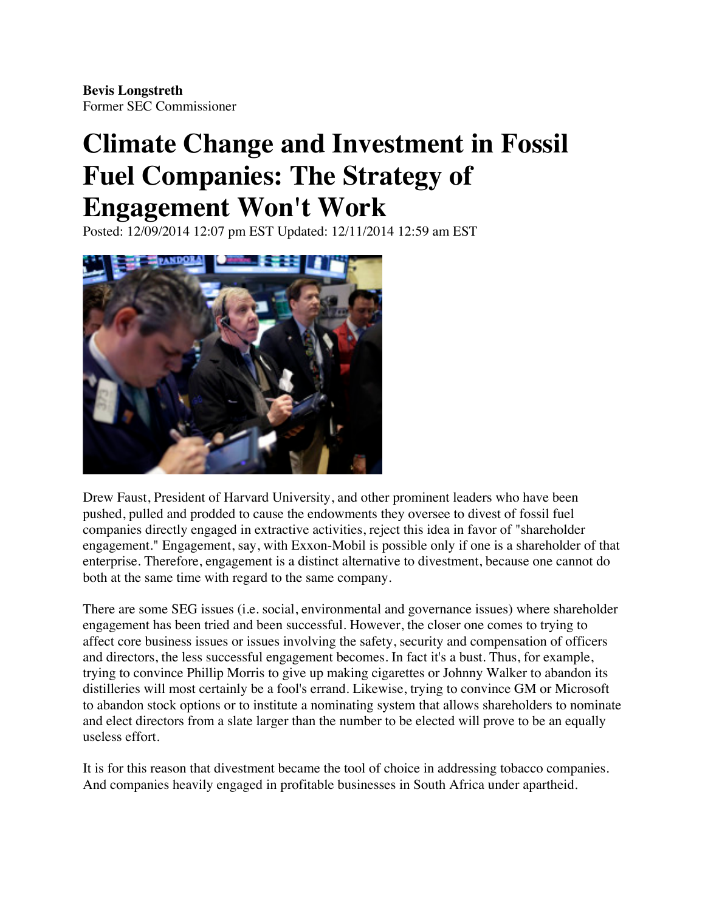**Bevis Longstreth** Former SEC Commissioner

## **Climate Change and Investment in Fossil Fuel Companies: The Strategy of Engagement Won't Work**

Posted: 12/09/2014 12:07 pm EST Updated: 12/11/2014 12:59 am EST



Drew Faust, President of Harvard University, and other prominent leaders who have been pushed, pulled and prodded to cause the endowments they oversee to divest of fossil fuel companies directly engaged in extractive activities, reject this idea in favor of "shareholder engagement." Engagement, say, with Exxon-Mobil is possible only if one is a shareholder of that enterprise. Therefore, engagement is a distinct alternative to divestment, because one cannot do both at the same time with regard to the same company.

There are some SEG issues (i.e. social, environmental and governance issues) where shareholder engagement has been tried and been successful. However, the closer one comes to trying to affect core business issues or issues involving the safety, security and compensation of officers and directors, the less successful engagement becomes. In fact it's a bust. Thus, for example, trying to convince Phillip Morris to give up making cigarettes or Johnny Walker to abandon its distilleries will most certainly be a fool's errand. Likewise, trying to convince GM or Microsoft to abandon stock options or to institute a nominating system that allows shareholders to nominate and elect directors from a slate larger than the number to be elected will prove to be an equally useless effort.

It is for this reason that divestment became the tool of choice in addressing tobacco companies. And companies heavily engaged in profitable businesses in South Africa under apartheid.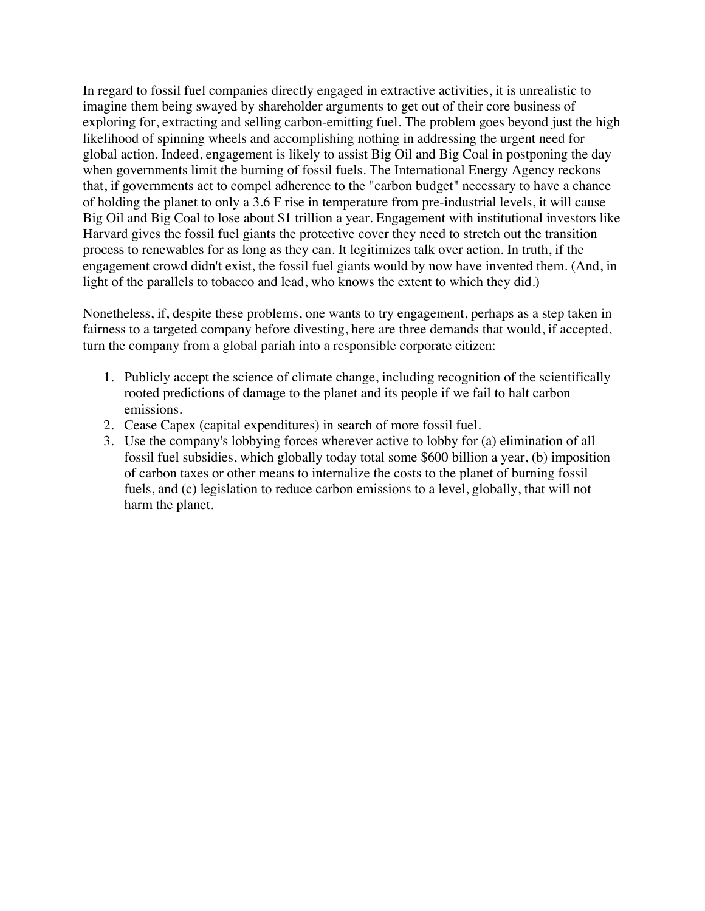In regard to fossil fuel companies directly engaged in extractive activities, it is unrealistic to imagine them being swayed by shareholder arguments to get out of their core business of exploring for, extracting and selling carbon-emitting fuel. The problem goes beyond just the high likelihood of spinning wheels and accomplishing nothing in addressing the urgent need for global action. Indeed, engagement is likely to assist Big Oil and Big Coal in postponing the day when governments limit the burning of fossil fuels. The International Energy Agency reckons that, if governments act to compel adherence to the "carbon budget" necessary to have a chance of holding the planet to only a 3.6 F rise in temperature from pre-industrial levels, it will cause Big Oil and Big Coal to lose about \$1 trillion a year. Engagement with institutional investors like Harvard gives the fossil fuel giants the protective cover they need to stretch out the transition process to renewables for as long as they can. It legitimizes talk over action. In truth, if the engagement crowd didn't exist, the fossil fuel giants would by now have invented them. (And, in light of the parallels to tobacco and lead, who knows the extent to which they did.)

Nonetheless, if, despite these problems, one wants to try engagement, perhaps as a step taken in fairness to a targeted company before divesting, here are three demands that would, if accepted, turn the company from a global pariah into a responsible corporate citizen:

- 1. Publicly accept the science of climate change, including recognition of the scientifically rooted predictions of damage to the planet and its people if we fail to halt carbon emissions.
- 2. Cease Capex (capital expenditures) in search of more fossil fuel.
- 3. Use the company's lobbying forces wherever active to lobby for (a) elimination of all fossil fuel subsidies, which globally today total some \$600 billion a year, (b) imposition of carbon taxes or other means to internalize the costs to the planet of burning fossil fuels, and (c) legislation to reduce carbon emissions to a level, globally, that will not harm the planet.